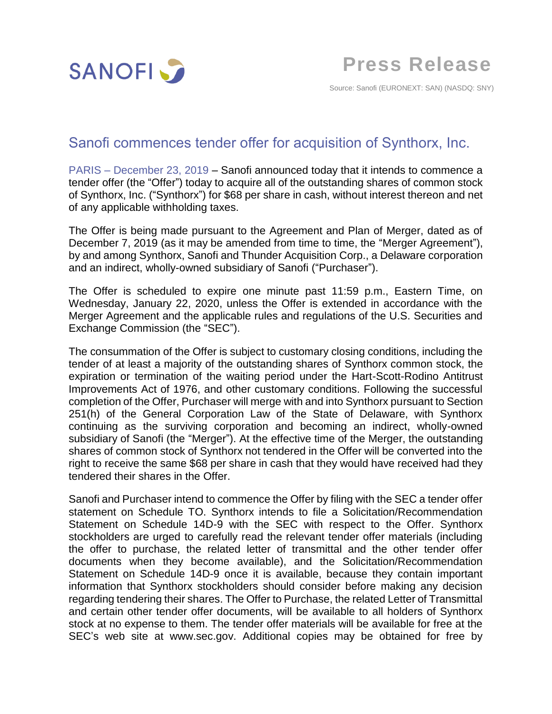

Source: Sanofi (EURONEXT: SAN) (NASDQ: SNY)

# Sanofi commences tender offer for acquisition of Synthorx, Inc.

PARIS – December 23, 2019 – Sanofi announced today that it intends to commence a tender offer (the "Offer") today to acquire all of the outstanding shares of common stock of Synthorx, Inc. ("Synthorx") for \$68 per share in cash, without interest thereon and net of any applicable withholding taxes.

The Offer is being made pursuant to the Agreement and Plan of Merger, dated as of December 7, 2019 (as it may be amended from time to time, the "Merger Agreement"), by and among Synthorx, Sanofi and Thunder Acquisition Corp., a Delaware corporation and an indirect, wholly-owned subsidiary of Sanofi ("Purchaser").

The Offer is scheduled to expire one minute past 11:59 p.m., Eastern Time, on Wednesday, January 22, 2020, unless the Offer is extended in accordance with the Merger Agreement and the applicable rules and regulations of the U.S. Securities and Exchange Commission (the "SEC").

The consummation of the Offer is subject to customary closing conditions, including the tender of at least a majority of the outstanding shares of Synthorx common stock, the expiration or termination of the waiting period under the Hart-Scott-Rodino Antitrust Improvements Act of 1976, and other customary conditions. Following the successful completion of the Offer, Purchaser will merge with and into Synthorx pursuant to Section 251(h) of the General Corporation Law of the State of Delaware, with Synthorx continuing as the surviving corporation and becoming an indirect, wholly-owned subsidiary of Sanofi (the "Merger"). At the effective time of the Merger, the outstanding shares of common stock of Synthorx not tendered in the Offer will be converted into the right to receive the same \$68 per share in cash that they would have received had they tendered their shares in the Offer.

Sanofi and Purchaser intend to commence the Offer by filing with the SEC a tender offer statement on Schedule TO. Synthorx intends to file a Solicitation/Recommendation Statement on Schedule 14D-9 with the SEC with respect to the Offer. Synthorx stockholders are urged to carefully read the relevant tender offer materials (including the offer to purchase, the related letter of transmittal and the other tender offer documents when they become available), and the Solicitation/Recommendation Statement on Schedule 14D-9 once it is available, because they contain important information that Synthorx stockholders should consider before making any decision regarding tendering their shares. The Offer to Purchase, the related Letter of Transmittal and certain other tender offer documents, will be available to all holders of Synthorx stock at no expense to them. The tender offer materials will be available for free at the SEC's web site at www.sec.gov. Additional copies may be obtained for free by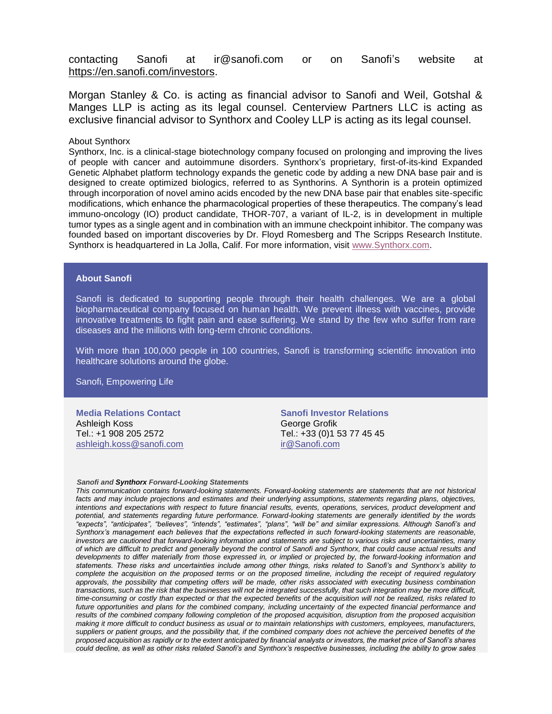contacting Sanofi at ir@sanofi.com or on Sanofi's website at https://en.sanofi.com/investors.

Morgan Stanley & Co. is acting as financial advisor to Sanofi and Weil, Gotshal & Manges LLP is acting as its legal counsel. Centerview Partners LLC is acting as exclusive financial advisor to Synthorx and Cooley LLP is acting as its legal counsel.

## About Synthorx

Synthorx, Inc. is a clinical-stage biotechnology company focused on prolonging and improving the lives of people with cancer and autoimmune disorders. Synthorx's proprietary, first-of-its-kind Expanded Genetic Alphabet platform technology expands the genetic code by adding a new DNA base pair and is designed to create optimized biologics, referred to as Synthorins. A Synthorin is a protein optimized through incorporation of novel amino acids encoded by the new DNA base pair that enables site-specific modifications, which enhance the pharmacological properties of these therapeutics. The company's lead immuno-oncology (IO) product candidate, THOR-707, a variant of IL-2, is in development in multiple tumor types as a single agent and in combination with an immune checkpoint inhibitor. The company was founded based on important discoveries by Dr. Floyd Romesberg and The Scripps Research Institute. Synthorx is headquartered in La Jolla, Calif. For more information, visit [www.Synthorx.com.](https://urldefense.proofpoint.com/v2/url?u=http-3A__www.synthorx.com&d=DwMFAg&c=Dbf9zoswcQ-CRvvI7VX5j3HvibIuT3ZiarcKl5qtMPo&r=qKB5FRX99749kFKj7hGHDd63Srzqnct-cX06pNHdGs4&m=XvsK12gxyYPoYmZX3ltTCpyaSGvpAFlnU6yjp2-sBis&s=91s7x2f-Tq8sH_CZEGRwOGemegMpdJl4U5acWE5Re9A&e=)

## **About Sanofi**

Sanofi is dedicated to supporting people through their health challenges. We are a global biopharmaceutical company focused on human health. We prevent illness with vaccines, provide innovative treatments to fight pain and ease suffering. We stand by the few who suffer from rare diseases and the millions with long-term chronic conditions.

With more than 100,000 people in 100 countries, Sanofi is transforming scientific innovation into healthcare solutions around the globe.

Sanofi, Empowering Life

**Media Relations Contact** Ashleigh Koss Tel.: +1 908 205 2572 [ashleigh.koss@sanofi.com](mailto:ashleigh.koss@sanofi.com)

**Sanofi Investor Relations** George Grofik Tel.: +33 (0)1 53 77 45 45 [ir@Sanofi.com](mailto:ir@saturn.com)

#### *Sanofi and Synthorx Forward-Looking Statements*

*This communication contains forward-looking statements. Forward-looking statements are statements that are not historical*  facts and may include projections and estimates and their underlying assumptions, statements regarding plans, objectives, *intentions and expectations with respect to future financial results, events, operations, services, product development and potential, and statements regarding future performance. Forward-looking statements are generally identified by the words "expects", "anticipates", "believes", "intends", "estimates", "plans", "will be" and similar expressions. Although Sanofi's and Synthorx's management each believes that the expectations reflected in such forward-looking statements are reasonable, investors are cautioned that forward-looking information and statements are subject to various risks and uncertainties, many of which are difficult to predict and generally beyond the control of Sanofi and Synthorx, that could cause actual results and*  developments to differ materially from those expressed in, or implied or projected by, the forward-looking information and *statements. These risks and uncertainties include among other things, risks related to Sanofi's and Synthorx's ability to complete the acquisition on the proposed terms or on the proposed timeline, including the receipt of required regulatory approvals, the possibility that competing offers will be made, other risks associated with executing business combination transactions, such as the risk that the businesses will not be integrated successfully, that such integration may be more difficult, time-consuming or costly than expected or that the expected benefits of the acquisition will not be realized, risks related to future opportunities and plans for the combined company, including uncertainty of the expected financial performance and results of the combined company following completion of the proposed acquisition, disruption from the proposed acquisition making it more difficult to conduct business as usual or to maintain relationships with customers, employees, manufacturers, suppliers or patient groups, and the possibility that, if the combined company does not achieve the perceived benefits of the proposed acquisition as rapidly or to the extent anticipated by financial analysts or investors, the market price of Sanofi's shares could decline, as well as other risks related Sanofi's and Synthorx's respective businesses, including the ability to grow sales*